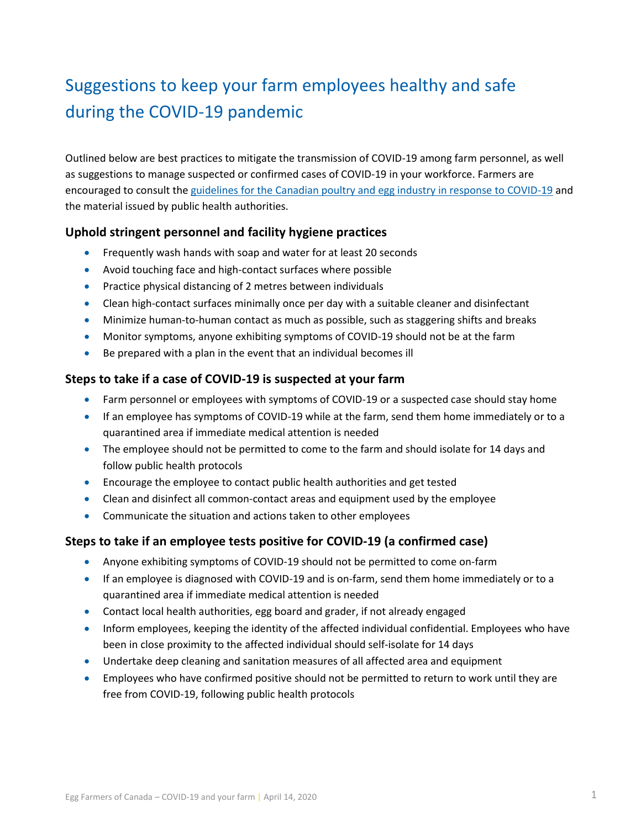# Suggestions to keep your farm employees healthy and safe during the COVID-19 pandemic

Outlined below are best practices to mitigate the transmission of COVID-19 among farm personnel, as well as suggestions to manage suspected or confirmed cases of COVID-19 in your workforce. Farmers are encouraged to consult the [guidelines for the Canadian poultry and egg industry in response to COVID-19](http://www.eggfarmers.ca/wp-content/uploads/2020/04/2020-04-02_Guidelines-for-the-Canadian-poultry-and-egg-industries-in-response-to-COVID-19.pdf) and the material issued by public health authorities.

## **Uphold stringent personnel and facility hygiene practices**

- **•** Frequently wash hands with soap and water for at least 20 seconds
- Avoid touching face and high-contact surfaces where possible
- Practice physical distancing of 2 metres between individuals
- Clean high-contact surfaces minimally once per day with a suitable cleaner and disinfectant
- Minimize human-to-human contact as much as possible, such as staggering shifts and breaks
- Monitor symptoms, anyone exhibiting symptoms of COVID-19 should not be at the farm
- Be prepared with a plan in the event that an individual becomes ill

## **Steps to take if a case of COVID-19 is suspected at your farm**

- Farm personnel or employees with symptoms of COVID-19 or a suspected case should stay home
- If an employee has symptoms of COVID-19 while at the farm, send them home immediately or to a quarantined area if immediate medical attention is needed
- The employee should not be permitted to come to the farm and should isolate for 14 days and follow public health protocols
- Encourage the employee to contact public health authorities and get tested
- Clean and disinfect all common-contact areas and equipment used by the employee
- Communicate the situation and actions taken to other employees

## **Steps to take if an employee tests positive for COVID-19 (a confirmed case)**

- Anyone exhibiting symptoms of COVID-19 should not be permitted to come on-farm
- If an employee is diagnosed with COVID-19 and is on-farm, send them home immediately or to a quarantined area if immediate medical attention is needed
- Contact local health authorities, egg board and grader, if not already engaged
- Inform employees, keeping the identity of the affected individual confidential. Employees who have been in close proximity to the affected individual should self-isolate for 14 days
- Undertake deep cleaning and sanitation measures of all affected area and equipment
- Employees who have confirmed positive should not be permitted to return to work until they are free from COVID-19, following public health protocols